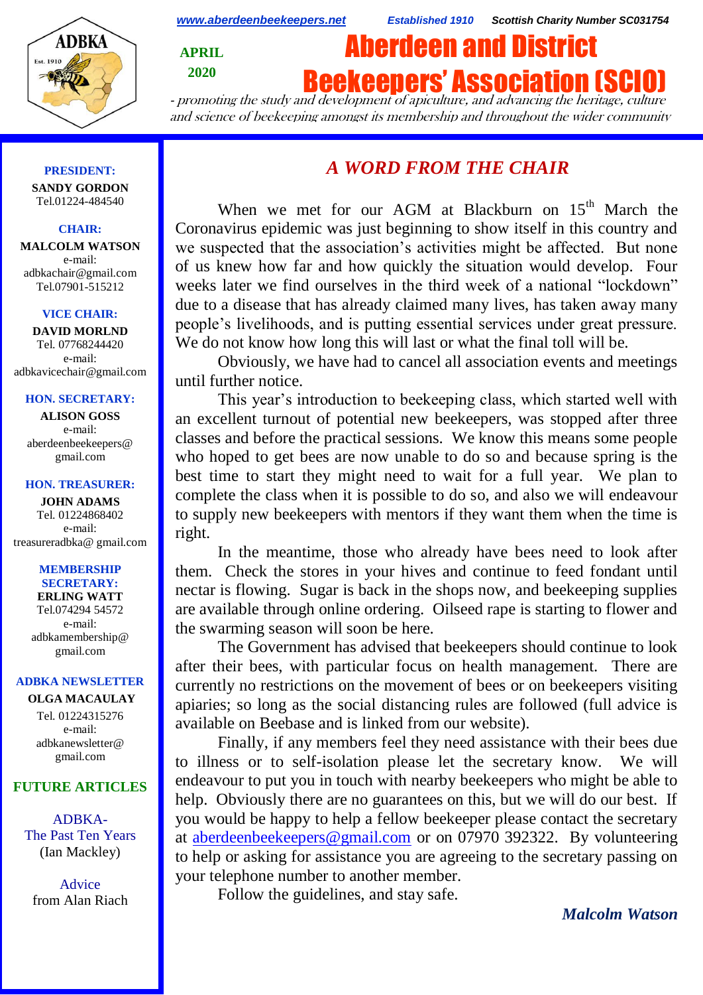

*[www.aberdeenbeekeepers.net](http://www.aberdeenbeekeepers.net/) Established 1910 Scottish Charity Number SC031754*

**APRIL 2020**

# Aberdeen and District

**Beekeeners' Association (SCI** 

- promoting the study and development of apiculture, and advancing the heritage, culture and science of beekeeping amongst its membership and throughout the wider community

## **PRESIDENT:**

**SANDY GORDON** Tel.01224-484540

## **CHAIR:**

**MALCOLM WATSON** e-mail: adbkachair@gmail.com Tel.07901-515212

#### **VICE CHAIR:**

**DAVID MORLND** Tel. 07768244420 e-mail: adbkavicechair@gmail.com

## **HON. SECRETARY:**

**ALISON GOSS**  e-mail: aberdeenbeekeepers@ gmail.com

#### **HON. TREASURER:**

**JOHN ADAMS** Tel. 01224868402 e-mail: [treasureradbka@ gmail.com](https://e.mail.ru/compose/?mailto=mailto%3atreasureradbka@gmail.com)

#### **MEMBERSHIP SECRETARY:**

**ERLING WATT** Tel.074294 54572 e-mail: [adbkamembership@](mailto:watterlingg@aol.com) [gmail.com](mailto:watterlingg@aol.com)

## **ADBKA NEWSLETTER**

**OLGA MACAULAY** Tel. 01224315276 e-mail: adbkanewsletter@ gmail.com

# **FUTURE ARTICLES**

ADBKA-The Past Ten Years (Ian Mackley)

Advice from Alan Riach

# *A WORD FROM THE CHAIR*

When we met for our AGM at Blackburn on 15<sup>th</sup> March the Coronavirus epidemic was just beginning to show itself in this country and we suspected that the association's activities might be affected. But none of us knew how far and how quickly the situation would develop. Four weeks later we find ourselves in the third week of a national "lockdown" due to a disease that has already claimed many lives, has taken away many people's livelihoods, and is putting essential services under great pressure. We do not know how long this will last or what the final toll will be.

Obviously, we have had to cancel all association events and meetings until further notice.

This year's introduction to beekeeping class, which started well with an excellent turnout of potential new beekeepers, was stopped after three classes and before the practical sessions. We know this means some people who hoped to get bees are now unable to do so and because spring is the best time to start they might need to wait for a full year. We plan to complete the class when it is possible to do so, and also we will endeavour to supply new beekeepers with mentors if they want them when the time is right.

In the meantime, those who already have bees need to look after them. Check the stores in your hives and continue to feed fondant until nectar is flowing. Sugar is back in the shops now, and beekeeping supplies are available through online ordering. Oilseed rape is starting to flower and the swarming season will soon be here.

The Government has advised that beekeepers should continue to look after their bees, with particular focus on health management. There are currently no restrictions on the movement of bees or on beekeepers visiting apiaries; so long as the social distancing rules are followed (full advice is available on Beebase and is linked from our website).

Finally, if any members feel they need assistance with their bees due to illness or to self-isolation please let the secretary know. We will endeavour to put you in touch with nearby beekeepers who might be able to help. Obviously there are no guarantees on this, but we will do our best. If you would be happy to help a fellow beekeeper please contact the secretary at [aberdeenbeekeepers@gmail.com](about:blank) or on 07970 392322. By volunteering to help or asking for assistance you are agreeing to the secretary passing on your telephone number to another member.

Follow the guidelines, and stay safe.

*Malcolm Watson*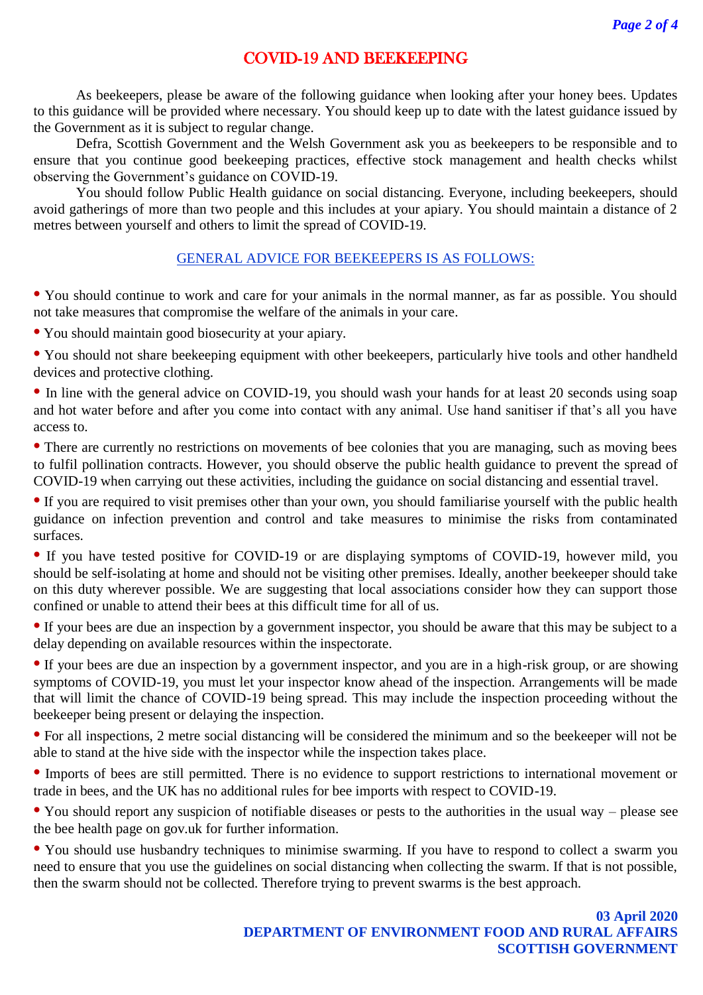# COVID-19 AND BEEKEEPING

As beekeepers, please be aware of the following guidance when looking after your honey bees. Updates to this guidance will be provided where necessary. You should keep up to date with the latest guidance issued by the Government as it is subject to regular change.

Defra, Scottish Government and the Welsh Government ask you as beekeepers to be responsible and to ensure that you continue good beekeeping practices, effective stock management and health checks whilst observing the Government's guidance on COVID-19.

You should follow Public Health guidance on social distancing. Everyone, including beekeepers, should avoid gatherings of more than two people and this includes at your apiary. You should maintain a distance of 2 metres between yourself and others to limit the spread of COVID-19.

# GENERAL ADVICE FOR BEEKEEPERS IS AS FOLLOWS:

**•** You should continue to work and care for your animals in the normal manner, as far as possible. You should not take measures that compromise the welfare of the animals in your care.

**•** You should maintain good biosecurity at your apiary.

• You should not share beekeeping equipment with other beekeepers, particularly hive tools and other handheld devices and protective clothing.

• In line with the general advice on COVID-19, you should wash your hands for at least 20 seconds using soap and hot water before and after you come into contact with any animal. Use hand sanitiser if that's all you have access to.

• There are currently no restrictions on movements of bee colonies that you are managing, such as moving bees to fulfil pollination contracts. However, you should observe the public health guidance to prevent the spread of COVID-19 when carrying out these activities, including the guidance on social distancing and essential travel.

• If you are required to visit premises other than your own, you should familiarise yourself with the public health guidance on infection prevention and control and take measures to minimise the risks from contaminated surfaces.

• If you have tested positive for COVID-19 or are displaying symptoms of COVID-19, however mild, you should be self-isolating at home and should not be visiting other premises. Ideally, another beekeeper should take on this duty wherever possible. We are suggesting that local associations consider how they can support those confined or unable to attend their bees at this difficult time for all of us.

• If your bees are due an inspection by a government inspector, you should be aware that this may be subject to a delay depending on available resources within the inspectorate.

• If your bees are due an inspection by a government inspector, and you are in a high-risk group, or are showing symptoms of COVID-19, you must let your inspector know ahead of the inspection. Arrangements will be made that will limit the chance of COVID-19 being spread. This may include the inspection proceeding without the beekeeper being present or delaying the inspection.

**•** For all inspections, 2 metre social distancing will be considered the minimum and so the beekeeper will not be able to stand at the hive side with the inspector while the inspection takes place.

**•** Imports of bees are still permitted. There is no evidence to support restrictions to international movement or trade in bees, and the UK has no additional rules for bee imports with respect to COVID-19.

**•** You should report any suspicion of notifiable diseases or pests to the authorities in the usual way – please see the bee health page on gov.uk for further information.

• You should use husbandry techniques to minimise swarming. If you have to respond to collect a swarm you need to ensure that you use the guidelines on social distancing when collecting the swarm. If that is not possible, then the swarm should not be collected. Therefore trying to prevent swarms is the best approach.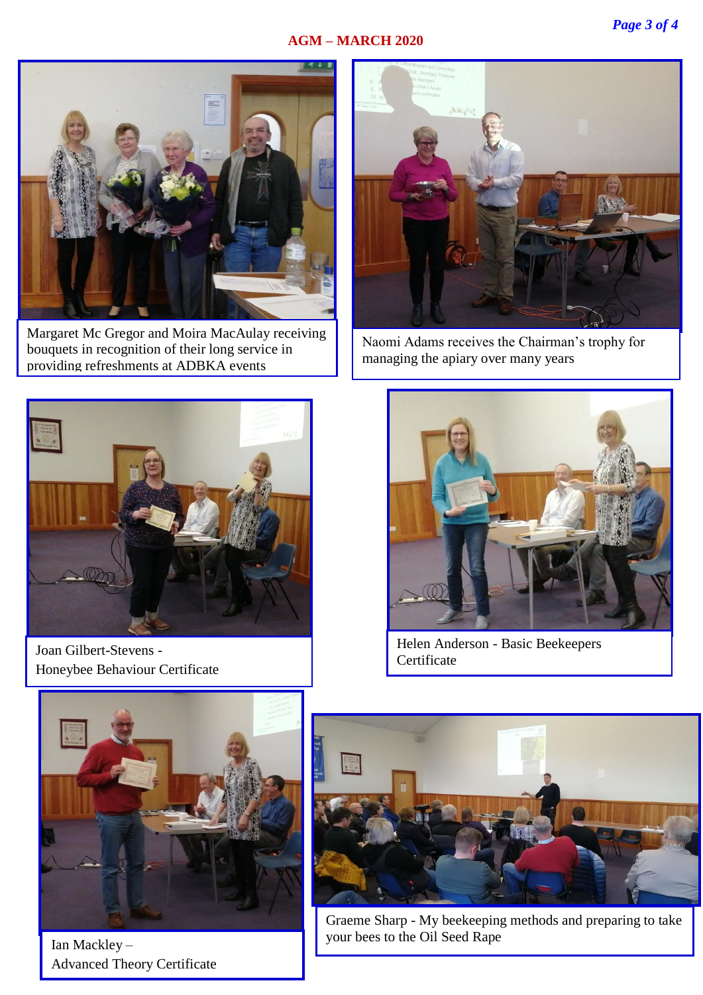# **AGM – MARCH 2020**



Margaret Mc Gregor and Moira MacAulay receiving bouquets in recognition of their long service in providing refreshments at ADBKA events



Joan Gilbert-Stevens - Honeybee Behaviour Certificate



Naomi Adams receives the Chairman's trophy for managing the apiary over many years



Helen Anderson - Basic Beekeepers Certificate



Ian Mackley – Advanced Theory Certificate



Graeme Sharp - My beekeeping methods and preparing to take your bees to the Oil Seed Rape